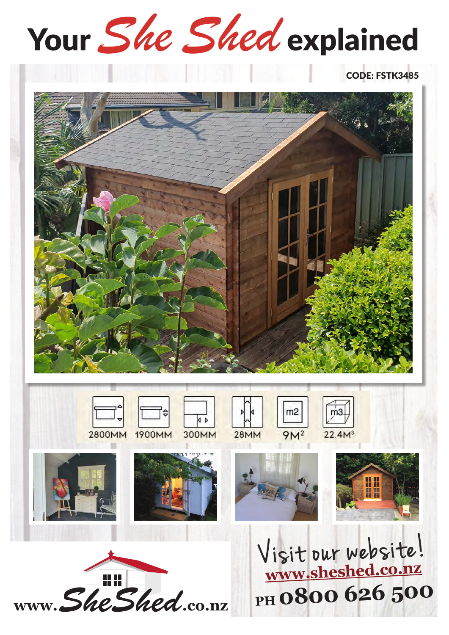# Your She Shed explained

#### **CODE: FSTK3485**



www.SheShed.co.nz

PH 0800 626 500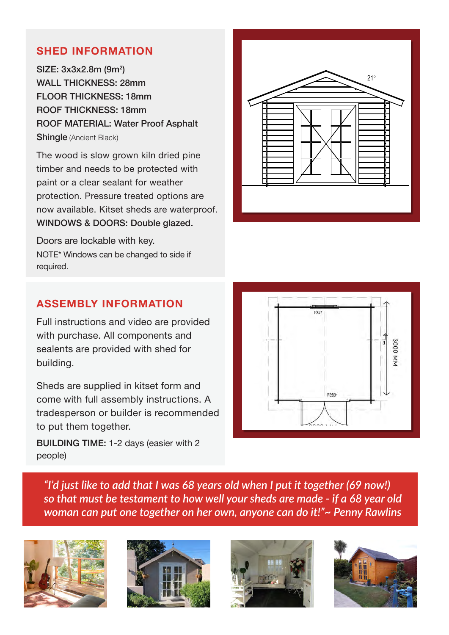#### **SHED INFORMATION**

SIZE: 3x3x2.8m (9m<sup>2</sup>) WALL THICKNESS: 28mm FLOOR THICKNESS: 18mm ROOF THICKNESS: 18mm ROOF MATERIAL: Water Proof Asphalt Shingle (Ancient Black)

The wood is slow grown kiln dried pine timber and needs to be protected with paint or a clear sealant for weather protection. Pressure treated options are now available. Kitset sheds are waterproof. WINDOWS & DOORS: Double glazed.

Doors are lockable with key. NOTE\* Windows can be changed to side if required.



#### **ASSEMBLY INFORMATION**

Full instructions and video are provided with purchase. All components and sealents are provided with shed for building.

Sheds are supplied in kitset form and come with full assembly instructions. A tradesperson or builder is recommended to put them together.

BUILDING TIME: 1-2 days (easier with 2 people)



*"I'd just like to add that I was 68 years old when I put it together (69 now!) so that must be testament to how well your sheds are made - if a 68 year old woman can put one together on her own, anyone can do it!"~ Penny Rawlins*







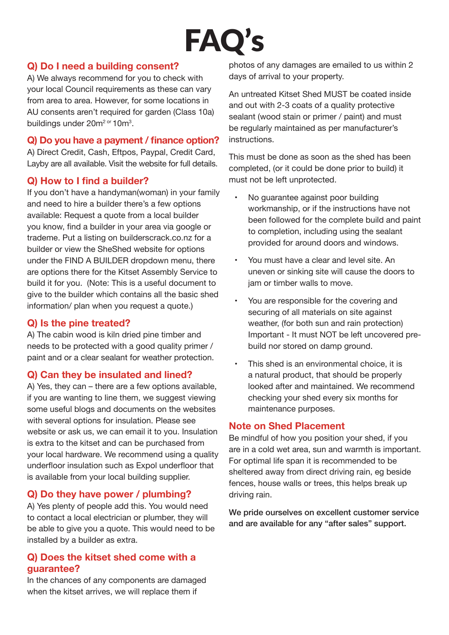### FAQ's

#### **Q) Do I need a building consent?**

A) We always recommend for you to check with your local Council requirements as these can vary from area to area. However, for some locations in AU consents aren't required for garden (Class 10a) buildings under 20m<sup>2 or</sup> 10m<sup>3</sup>.

#### **Q) Do you have a payment / finance option?**

A) Direct Credit, Cash, Eftpos, Paypal, Credit Card, Layby are all available. Visit the website for full details.

#### **Q) How to I find a builder?**

If you don't have a handyman(woman) in your family and need to hire a builder there's a few options available: Request a quote from a local builder you know, find a builder in your area via google or trademe. Put a listing on builderscrack.co.nz for a builder or view the SheShed website for options under the FIND A BUILDER dropdown menu, there are options there for the Kitset Assembly Service to build it for you. (Note: This is a useful document to give to the builder which contains all the basic shed information/ plan when you request a quote.)

#### **Q) Is the pine treated?**

A) The cabin wood is kiln dried pine timber and needs to be protected with a good quality primer / paint and or a clear sealant for weather protection.

#### **Q) Can they be insulated and lined?**

A) Yes, they can – there are a few options available, if you are wanting to line them, we suggest viewing some useful blogs and documents on the websites with several options for insulation. Please see website or ask us, we can email it to you. Insulation is extra to the kitset and can be purchased from your local hardware. We recommend using a quality underfloor insulation such as Expol underfloor that is available from your local building supplier.

#### **Q) Do they have power / plumbing?**

A) Yes plenty of people add this. You would need to contact a local electrician or plumber, they will be able to give you a quote. This would need to be installed by a builder as extra.

#### **Q) Does the kitset shed come with a guarantee?**

In the chances of any components are damaged when the kitset arrives, we will replace them if

photos of any damages are emailed to us within 2 days of arrival to your property.

An untreated Kitset Shed MUST be coated inside and out with 2-3 coats of a quality protective sealant (wood stain or primer / paint) and must be regularly maintained as per manufacturer's instructions.

This must be done as soon as the shed has been completed, (or it could be done prior to build) it must not be left unprotected.

- No quarantee against poor building workmanship, or if the instructions have not been followed for the complete build and paint to completion, including using the sealant provided for around doors and windows.
- You must have a clear and level site. An uneven or sinking site will cause the doors to jam or timber walls to move.
- You are responsible for the covering and securing of all materials on site against weather, (for both sun and rain protection) Important - It must NOT be left uncovered prebuild nor stored on damp ground.
- This shed is an environmental choice, it is a natural product, that should be properly looked after and maintained. We recommend checking your shed every six months for maintenance purposes.

#### **Note on Shed Placement**

Be mindful of how you position your shed, if you are in a cold wet area, sun and warmth is important. For optimal life span it is recommended to be sheltered away from direct driving rain, eg beside fences, house walls or trees, this helps break up driving rain.

We pride ourselves on excellent customer service and are available for any "after sales" support.